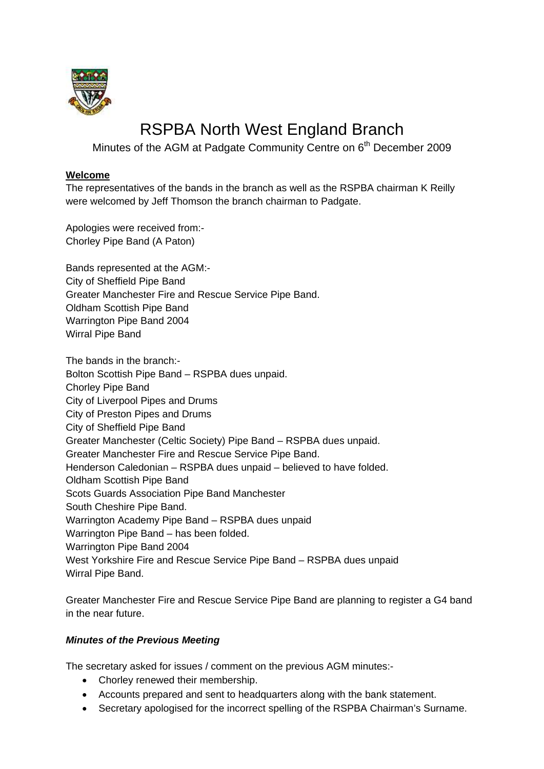

## RSPBA North West England Branch

Minutes of the AGM at Padgate Community Centre on 6<sup>th</sup> December 2009

#### **Welcome**

The representatives of the bands in the branch as well as the RSPBA chairman K Reilly were welcomed by Jeff Thomson the branch chairman to Padgate.

Apologies were received from:- Chorley Pipe Band (A Paton)

Bands represented at the AGM:- City of Sheffield Pipe Band Greater Manchester Fire and Rescue Service Pipe Band. Oldham Scottish Pipe Band Warrington Pipe Band 2004 Wirral Pipe Band

The bands in the branch:- Bolton Scottish Pipe Band – RSPBA dues unpaid. Chorley Pipe Band City of Liverpool Pipes and Drums City of Preston Pipes and Drums City of Sheffield Pipe Band Greater Manchester (Celtic Society) Pipe Band – RSPBA dues unpaid. Greater Manchester Fire and Rescue Service Pipe Band. Henderson Caledonian – RSPBA dues unpaid – believed to have folded. Oldham Scottish Pipe Band Scots Guards Association Pipe Band Manchester South Cheshire Pipe Band. Warrington Academy Pipe Band – RSPBA dues unpaid Warrington Pipe Band – has been folded. Warrington Pipe Band 2004 West Yorkshire Fire and Rescue Service Pipe Band – RSPBA dues unpaid Wirral Pipe Band.

Greater Manchester Fire and Rescue Service Pipe Band are planning to register a G4 band in the near future.

#### *Minutes of the Previous Meeting*

The secretary asked for issues / comment on the previous AGM minutes:-

- Chorley renewed their membership.
- Accounts prepared and sent to headquarters along with the bank statement.
- Secretary apologised for the incorrect spelling of the RSPBA Chairman's Surname.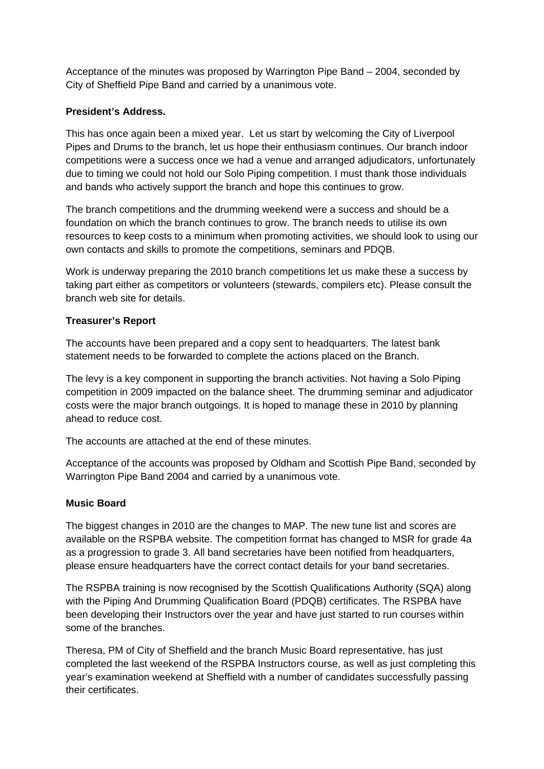Acceptance of the minutes was proposed by Warrington Pipe Band – 2004, seconded by City of Sheffield Pipe Band and carried by a unanimous vote.

### **President's Address.**

This has once again been a mixed year. Let us start by welcoming the City of Liverpool Pipes and Drums to the branch, let us hope their enthusiasm continues. Our branch indoor competitions were a success once we had a venue and arranged adjudicators, unfortunately due to timing we could not hold our Solo Piping competition. I must thank those individuals and bands who actively support the branch and hope this continues to grow.

The branch competitions and the drumming weekend were a success and should be a foundation on which the branch continues to grow. The branch needs to utilise its own resources to keep costs to a minimum when promoting activities, we should look to using our own contacts and skills to promote the competitions, seminars and PDQB.

Work is underway preparing the 2010 branch competitions let us make these a success by taking part either as competitors or volunteers (stewards, compilers etc). Please consult the branch web site for details.

### **Treasurer's Report**

The accounts have been prepared and a copy sent to headquarters. The latest bank statement needs to be forwarded to complete the actions placed on the Branch.

The levy is a key component in supporting the branch activities. Not having a Solo Piping competition in 2009 impacted on the balance sheet. The drumming seminar and adjudicator costs were the major branch outgoings. It is hoped to manage these in 2010 by planning ahead to reduce cost.

The accounts are attached at the end of these minutes.

Acceptance of the accounts was proposed by Oldham and Scottish Pipe Band, seconded by Warrington Pipe Band 2004 and carried by a unanimous vote.

#### **Music Board**

The biggest changes in 2010 are the changes to MAP. The new tune list and scores are available on the RSPBA website. The competition format has changed to MSR for grade 4a as a progression to grade 3. All band secretaries have been notified from headquarters, please ensure headquarters have the correct contact details for your band secretaries.

The RSPBA training is now recognised by the Scottish Qualifications Authority (SQA) along with the Piping And Drumming Qualification Board (PDQB) certificates. The RSPBA have been developing their Instructors over the year and have just started to run courses within some of the branches.

Theresa, PM of City of Sheffield and the branch Music Board representative, has just completed the last weekend of the RSPBA Instructors course, as well as just completing this year's examination weekend at Sheffield with a number of candidates successfully passing their certificates.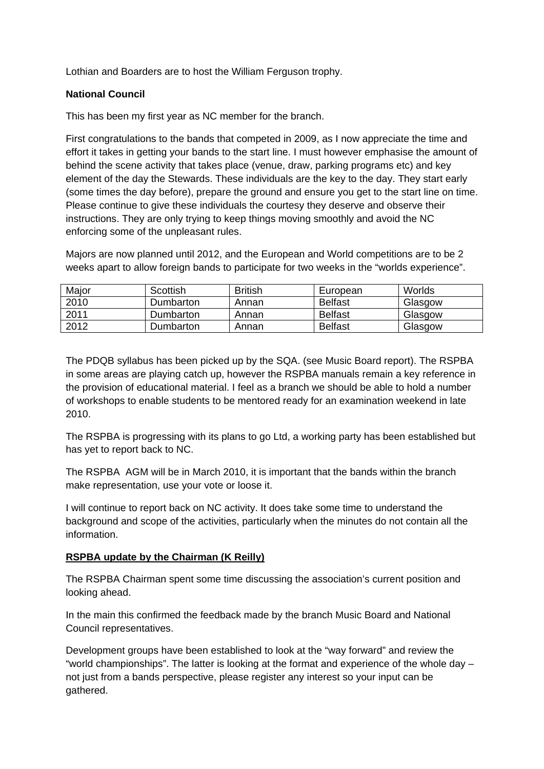Lothian and Boarders are to host the William Ferguson trophy.

## **National Council**

This has been my first year as NC member for the branch.

First congratulations to the bands that competed in 2009, as I now appreciate the time and effort it takes in getting your bands to the start line. I must however emphasise the amount of behind the scene activity that takes place (venue, draw, parking programs etc) and key element of the day the Stewards. These individuals are the key to the day. They start early (some times the day before), prepare the ground and ensure you get to the start line on time. Please continue to give these individuals the courtesy they deserve and observe their instructions. They are only trying to keep things moving smoothly and avoid the NC enforcing some of the unpleasant rules.

Majors are now planned until 2012, and the European and World competitions are to be 2 weeks apart to allow foreign bands to participate for two weeks in the "worlds experience".

| Major | Scottish  | <b>British</b> | European       | Worlds  |
|-------|-----------|----------------|----------------|---------|
| 2010  | Dumbarton | Annan          | <b>Belfast</b> | Glasgow |
| 2011  | Dumbarton | Annan          | <b>Belfast</b> | Glasgow |
| 2012  | Dumbarton | Annan          | <b>Belfast</b> | Glasgow |

The PDQB syllabus has been picked up by the SQA. (see Music Board report). The RSPBA in some areas are playing catch up, however the RSPBA manuals remain a key reference in the provision of educational material. I feel as a branch we should be able to hold a number of workshops to enable students to be mentored ready for an examination weekend in late 2010.

The RSPBA is progressing with its plans to go Ltd, a working party has been established but has yet to report back to NC.

The RSPBA AGM will be in March 2010, it is important that the bands within the branch make representation, use your vote or loose it.

I will continue to report back on NC activity. It does take some time to understand the background and scope of the activities, particularly when the minutes do not contain all the information.

## **RSPBA update by the Chairman (K Reilly)**

The RSPBA Chairman spent some time discussing the association's current position and looking ahead.

In the main this confirmed the feedback made by the branch Music Board and National Council representatives.

Development groups have been established to look at the "way forward" and review the "world championships". The latter is looking at the format and experience of the whole day – not just from a bands perspective, please register any interest so your input can be gathered.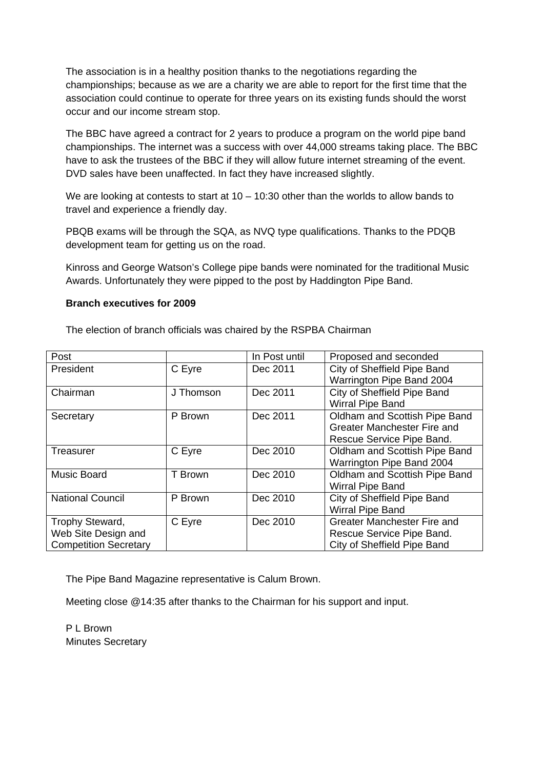The association is in a healthy position thanks to the negotiations regarding the championships; because as we are a charity we are able to report for the first time that the association could continue to operate for three years on its existing funds should the worst occur and our income stream stop.

The BBC have agreed a contract for 2 years to produce a program on the world pipe band championships. The internet was a success with over 44,000 streams taking place. The BBC have to ask the trustees of the BBC if they will allow future internet streaming of the event. DVD sales have been unaffected. In fact they have increased slightly.

We are looking at contests to start at  $10 - 10:30$  other than the worlds to allow bands to travel and experience a friendly day.

PBQB exams will be through the SQA, as NVQ type qualifications. Thanks to the PDQB development team for getting us on the road.

Kinross and George Watson's College pipe bands were nominated for the traditional Music Awards. Unfortunately they were pipped to the post by Haddington Pipe Band.

#### **Branch executives for 2009**

The election of branch officials was chaired by the RSPBA Chairman

| Post                         |           | In Post until | Proposed and seconded         |
|------------------------------|-----------|---------------|-------------------------------|
| President                    | C Eyre    | Dec 2011      | City of Sheffield Pipe Band   |
|                              |           |               | Warrington Pipe Band 2004     |
| Chairman                     | J Thomson | Dec 2011      | City of Sheffield Pipe Band   |
|                              |           |               | <b>Wirral Pipe Band</b>       |
| Secretary                    | P Brown   | Dec 2011      | Oldham and Scottish Pipe Band |
|                              |           |               | Greater Manchester Fire and   |
|                              |           |               | Rescue Service Pipe Band.     |
| Treasurer                    | C Eyre    | Dec 2010      | Oldham and Scottish Pipe Band |
|                              |           |               | Warrington Pipe Band 2004     |
| <b>Music Board</b>           | T Brown   | Dec 2010      | Oldham and Scottish Pipe Band |
|                              |           |               | <b>Wirral Pipe Band</b>       |
| <b>National Council</b>      | P Brown   | Dec 2010      | City of Sheffield Pipe Band   |
|                              |           |               | <b>Wirral Pipe Band</b>       |
| Trophy Steward,              | C Eyre    | Dec 2010      | Greater Manchester Fire and   |
| Web Site Design and          |           |               | Rescue Service Pipe Band.     |
| <b>Competition Secretary</b> |           |               | City of Sheffield Pipe Band   |

The Pipe Band Magazine representative is Calum Brown.

Meeting close @14:35 after thanks to the Chairman for his support and input.

P L Brown Minutes Secretary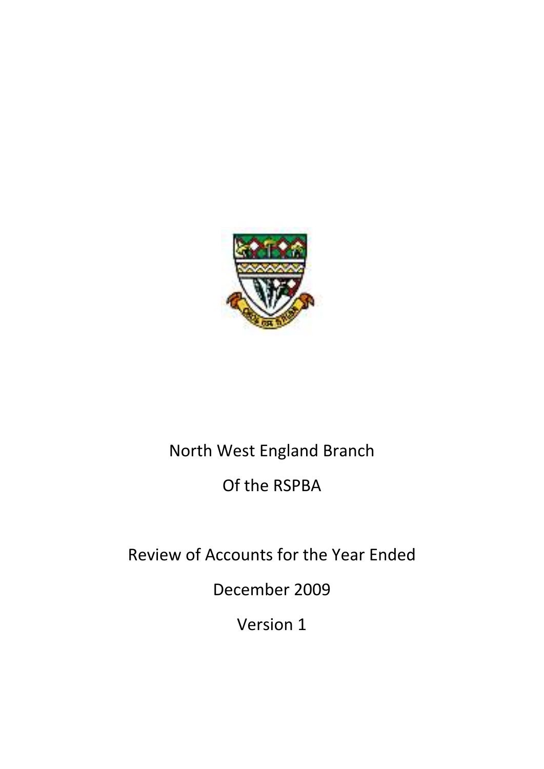

# North West England Branch

# Of the RSPBA

Review of Accounts for the Year Ended

December 2009

Version 1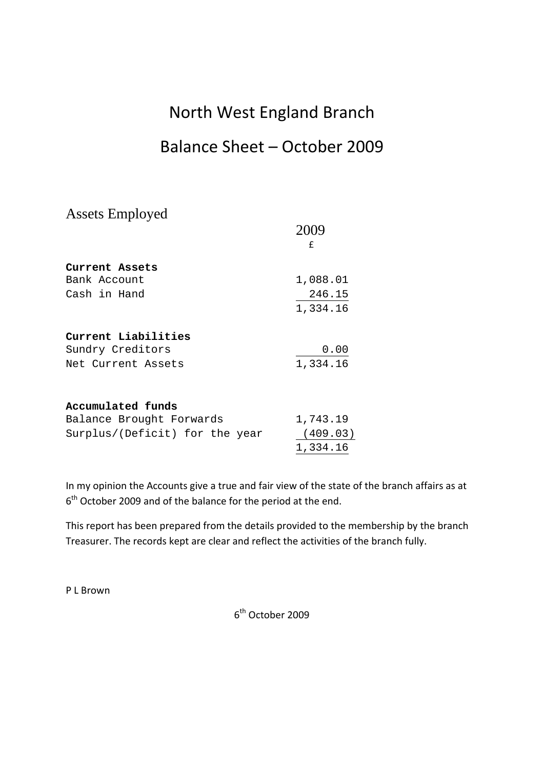## North West England Branch

## Balance Sheet – October 2009

Assets Employed

|                                | f        |
|--------------------------------|----------|
| Current Assets                 |          |
| Bank Account                   | 1,088.01 |
| Cash in Hand                   | 246.15   |
|                                | 1,334.16 |
| Current Liabilities            |          |
| Sundry Creditors               | 0.00     |
| Net Current Assets             | 1,334.16 |
| Accumulated funds              |          |
| Balance Brought Forwards       | 1,743.19 |
| Surplus/(Deficit) for the year | (409.03) |
|                                | 1,334.16 |

In my opinion the Accounts give a true and fair view of the state of the branch affairs as at  $6<sup>th</sup>$  October 2009 and of the balance for the period at the end.

This report has been prepared from the details provided to the membership by the branch Treasurer. The records kept are clear and reflect the activities of the branch fully.

P L Brown

6th October 2009